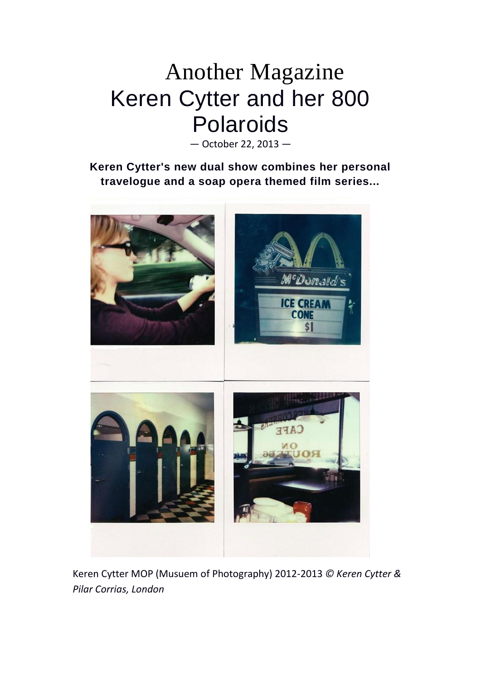## Another Magazine Keren Cytter and her 800 Polaroids

— October 22, 2013 —

**Keren Cytter's new dual show combines her personal travelogue and a soap opera themed film series...**



Keren Cytter MOP (Musuem of Photography) 2012-2013 *© Keren Cytter & Pilar Corrias, London*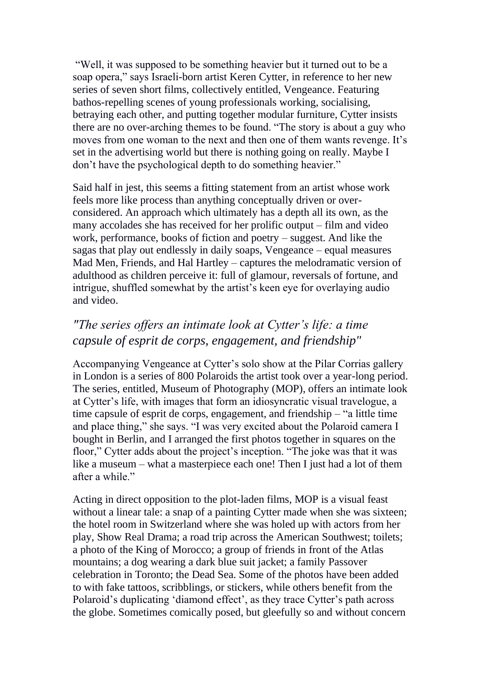"Well, it was supposed to be something heavier but it turned out to be a soap opera," says Israeli-born artist Keren Cytter, in reference to her new series of seven short films, collectively entitled, Vengeance. Featuring bathos-repelling scenes of young professionals working, socialising, betraying each other, and putting together modular furniture, Cytter insists there are no over-arching themes to be found. "The story is about a guy who moves from one woman to the next and then one of them wants revenge. It's set in the advertising world but there is nothing going on really. Maybe I don't have the psychological depth to do something heavier."

Said half in jest, this seems a fitting statement from an artist whose work feels more like process than anything conceptually driven or overconsidered. An approach which ultimately has a depth all its own, as the many accolades she has received for her prolific output – film and video work, performance, books of fiction and poetry – suggest. And like the sagas that play out endlessly in daily soaps, Vengeance – equal measures Mad Men, Friends, and Hal Hartley – captures the melodramatic version of adulthood as children perceive it: full of glamour, reversals of fortune, and intrigue, shuffled somewhat by the artist's keen eye for overlaying audio and video.

## *"The series offers an intimate look at Cytter's life: a time capsule of esprit de corps, engagement, and friendship"*

Accompanying Vengeance at Cytter's solo show at the Pilar Corrias gallery in London is a series of 800 Polaroids the artist took over a year-long period. The series, entitled, Museum of Photography (MOP), offers an intimate look at Cytter's life, with images that form an idiosyncratic visual travelogue, a time capsule of esprit de corps, engagement, and friendship – "a little time and place thing," she says. "I was very excited about the Polaroid camera I bought in Berlin, and I arranged the first photos together in squares on the floor," Cytter adds about the project's inception. "The joke was that it was like a museum – what a masterpiece each one! Then I just had a lot of them after a while."

Acting in direct opposition to the plot-laden films, MOP is a visual feast without a linear tale: a snap of a painting Cytter made when she was sixteen; the hotel room in Switzerland where she was holed up with actors from her play, Show Real Drama; a road trip across the American Southwest; toilets; a photo of the King of Morocco; a group of friends in front of the Atlas mountains; a dog wearing a dark blue suit jacket; a family Passover celebration in Toronto; the Dead Sea. Some of the photos have been added to with fake tattoos, scribblings, or stickers, while others benefit from the Polaroid's duplicating 'diamond effect', as they trace Cytter's path across the globe. Sometimes comically posed, but gleefully so and without concern